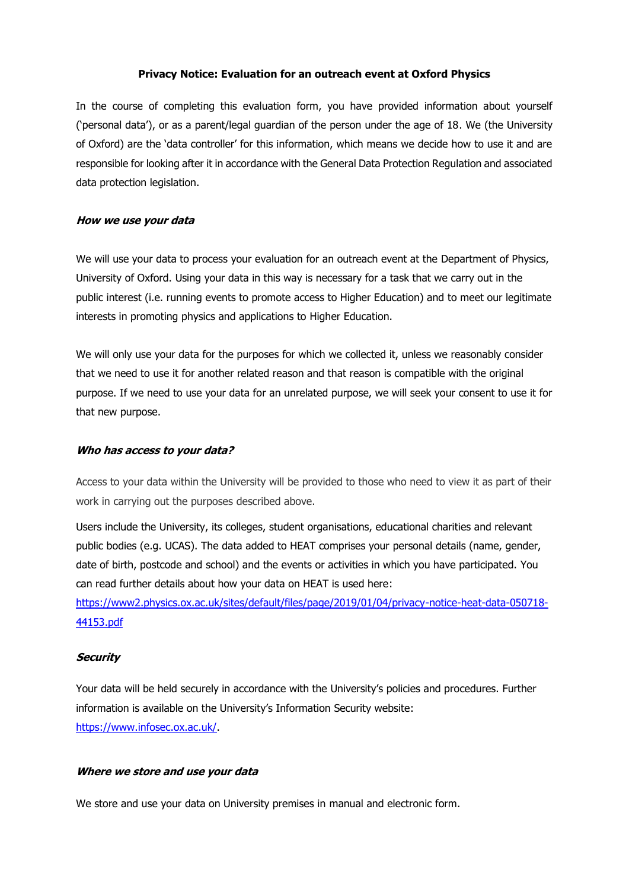### **Privacy Notice: Evaluation for an outreach event at Oxford Physics**

In the course of completing this evaluation form, you have provided information about yourself ('personal data'), or as a parent/legal guardian of the person under the age of 18. We (the University of Oxford) are the 'data controller' for this information, which means we decide how to use it and are responsible for looking after it in accordance with the General Data Protection Regulation and associated data protection legislation.

### **How we use your data**

We will use your data to process your evaluation for an outreach event at the Department of Physics, University of Oxford. Using your data in this way is necessary for a task that we carry out in the public interest (i.e. running events to promote access to Higher Education) and to meet our legitimate interests in promoting physics and applications to Higher Education.

We will only use your data for the purposes for which we collected it, unless we reasonably consider that we need to use it for another related reason and that reason is compatible with the original purpose. If we need to use your data for an unrelated purpose, we will seek your consent to use it for that new purpose.

#### **Who has access to your data?**

Access to your data within the University will be provided to those who need to view it as part of their work in carrying out the purposes described above.

Users include the University, its colleges, student organisations, educational charities and relevant public bodies (e.g. UCAS). The data added to HEAT comprises your personal details (name, gender, date of birth, postcode and school) and the events or activities in which you have participated. You can read further details about how your data on HEAT is used here:

[https://www2.physics.ox.ac.uk/sites/default/files/page/2019/01/04/privacy-notice-heat-data-050718-](https://www2.physics.ox.ac.uk/sites/default/files/page/2019/01/04/privacy-notice-heat-data-050718-44153.pdf) [44153.pdf](https://www2.physics.ox.ac.uk/sites/default/files/page/2019/01/04/privacy-notice-heat-data-050718-44153.pdf)

### **Security**

Your data will be held securely in accordance with the University's policies and procedures. Further information is available on the University's Information Security website: [https://www.infosec.ox.ac.uk/.](https://www.infosec.ox.ac.uk/)

#### **Where we store and use your data**

We store and use your data on University premises in manual and electronic form.